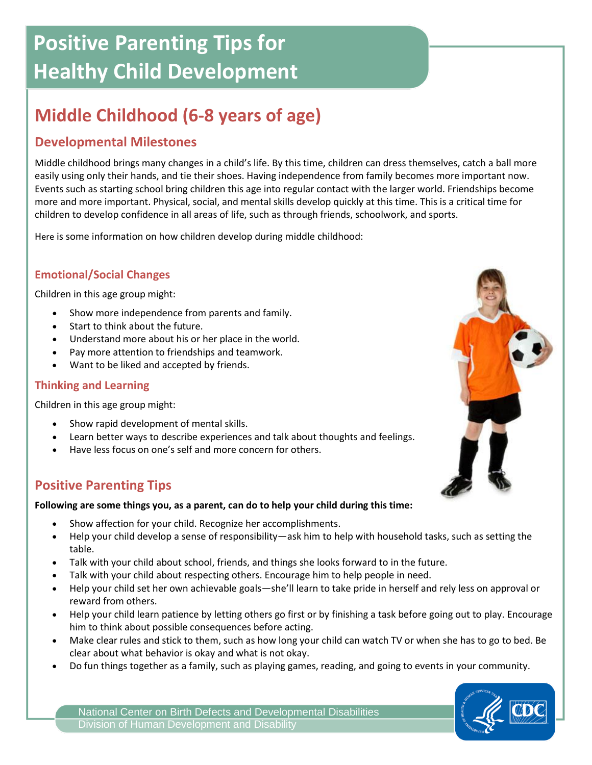# **Positive Parenting Tips for Healthy Child Development**

## **Middle Childhood (6-8 years of age)**

## **Developmental Milestones**

Middle childhood brings many changes in a child's life. By this time, children can dress themselves, catch a ball more easily using only their hands, and tie their shoes. Having independence from family becomes more important now. Events such as starting school bring children this age into regular contact with the larger world. Friendships become more and more important. Physical, social, and mental skills develop quickly at this time. This is a critical time for children to develop confidence in all areas of life, such as through friends, schoolwork, and sports.

Here is some information on how children develop during middle childhood:

#### **Emotional/Social Changes**

Children in this age group might:

- Show more independence from parents and family.
- Start to think about the future.
- Understand more about his or her place in the world.
- Pay more attention to friendships and teamwork.
- Want to be liked and accepted by friends.

#### **Thinking and Learning**

Children in this age group might:

- Show rapid development of mental skills.
- Learn better ways to describe experiences and talk about thoughts and feelings.
- Have less focus on one's self and more concern for others.

## **Positive Parenting Tips**

#### **Following are some things you, as a parent, can do to help your child during this time:**

- Show affection for your child. Recognize her accomplishments.
- Help your child develop a sense of responsibility—ask him to help with household tasks, such as setting the table.
- Talk with your child about school, friends, and things she looks forward to in the future.
- Talk with your child about respecting others. Encourage him to help people in need.
- Help your child set her own achievable goals—she'll learn to take pride in herself and rely less on approval or reward from others.
- Help your child learn patience by letting others go first or by finishing a task before going out to play. Encourage him to think about possible consequences before acting.
- Make clear rules and stick to them, such as how long your child can watch TV or when she has to go to bed. Be clear about what behavior is okay and what is not okay.
- Do fun things together as a family, such as playing games, reading, and going to events in your community.







National Center on Birth Defects and Developmental Disabilities Division of Human Development and Disability